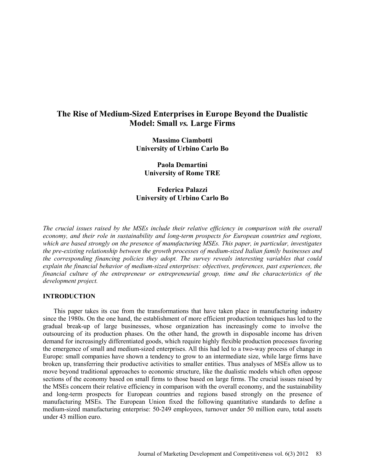# **The Rise of Medium-Sized Enterprises in Europe Beyond the Dualistic Model: Small** *vs.* **Large Firms**

**Massimo Ciambotti University of Urbino Carlo Bo** 

**Paola Demartini University of Rome TRE** 

**Federica Palazzi University of Urbino Carlo Bo** 

*The crucial issues raised by the MSEs include their relative efficiency in comparison with the overall economy, and their role in sustainability and long-term prospects for European countries and regions, which are based strongly on the presence of manufacturing MSEs. This paper, in particular, investigates the pre-existing relationship between the growth processes of medium-sized Italian family businesses and the corresponding financing policies they adopt. The survey reveals interesting variables that could explain the financial behavior of medium-sized enterprises: objectives, preferences, past experiences, the financial culture of the entrepreneur or entrepreneurial group, time and the characteristics of the development project.*

### **INTRODUCTION**

This paper takes its cue from the transformations that have taken place in manufacturing industry since the 1980s. On the one hand, the establishment of more efficient production techniques has led to the gradual break-up of large businesses, whose organization has increasingly come to involve the outsourcing of its production phases. On the other hand, the growth in disposable income has driven demand for increasingly differentiated goods, which require highly flexible production processes favoring the emergence of small and medium-sized enterprises. All this had led to a two-way process of change in Europe: small companies have shown a tendency to grow to an intermediate size, while large firms have broken up, transferring their productive activities to smaller entities. Thus analyses of MSEs allow us to move beyond traditional approaches to economic structure, like the dualistic models which often oppose sections of the economy based on small firms to those based on large firms. The crucial issues raised by the MSEs concern their relative efficiency in comparison with the overall economy, and the sustainability and long-term prospects for European countries and regions based strongly on the presence of manufacturing MSEs. The European Union fixed the following quantitative standards to define a medium-sized manufacturing enterprise: 50-249 employees, turnover under 50 million euro, total assets under 43 million euro.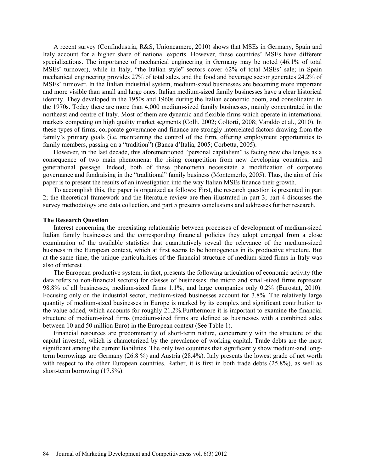A recent survey (Confindustria, R&S, Unioncamere, 2010) shows that MSEs in Germany, Spain and Italy account for a higher share of national exports. However, these countries' MSEs have different specializations. The importance of mechanical engineering in Germany may be noted (46.1% of total MSEs' turnover), while in Italy, "the Italian style" sectors cover 62% of total MSEs' sale; in Spain mechanical engineering provides 27% of total sales, and the food and beverage sector generates 24.2% of MSEs' turnover. In the Italian industrial system, medium-sized businesses are becoming more important and more visible than small and large ones. Italian medium-sized family businesses have a clear historical identity. They developed in the 1950s and 1960s during the Italian economic boom, and consolidated in the 1970s. Today there are more than 4,000 medium-sized family businesses, mainly concentrated in the northeast and centre of Italy. Most of them are dynamic and flexible firms which operate in international markets competing on high quality market segments (Colli, 2002; Coltorti, 2008; Varaldo et al., 2010). In these types of firms, corporate governance and finance are strongly interrelated factors drawing from the family's primary goals (i.e. maintaining the control of the firm, offering employment opportunities to family members, passing on a "tradition") (Banca d'Italia, 2005; Corbetta, 2005).

However, in the last decade, this aforementioned "personal capitalism" is facing new challenges as a consequence of two main phenomena: the rising competition from new developing countries, and generational passage. Indeed, both of these phenomena necessitate a modification of corporate governance and fundraising in the "traditional" family business (Montemerlo, 2005). Thus, the aim of this paper is to present the results of an investigation into the way Italian MSEs finance their growth.

To accomplish this, the paper is organized as follows: First, the research question is presented in part 2; the theoretical framework and the literature review are then illustrated in part 3; part 4 discusses the survey methodology and data collection, and part 5 presents conclusions and addresses further research.

#### **The Research Question**

Interest concerning the preexisting relationship between processes of development of medium-sized Italian family businesses and the corresponding financial policies they adopt emerged from a close examination of the available statistics that quantitatively reveal the relevance of the medium-sized business in the European context, which at first seems to be homogenous in its productive structure. But at the same time, the unique particularities of the financial structure of medium-sized firms in Italy was also of interest .

The European productive system, in fact, presents the following articulation of economic activity (the data refers to non-financial sectors) for classes of businesses: the micro and small-sized firms represent 98.8% of all businesses, medium-sized firms 1.1%, and large companies only 0.2% (Eurostat, 2010). Focusing only on the industrial sector, medium-sized businesses account for 3.8%. The relatively large quantity of medium-sized businesses in Europe is marked by its complex and significant contribution to the value added, which accounts for roughly 21.2%.Furthermore it is important to examine the financial structure of medium-sized firms (medium-sized firms are defined as businesses with a combined sales between 10 and 50 million Euro) in the European context (See Table 1).

Financial resources are predominantly of short-term nature, concurrently with the structure of the capital invested, which is characterized by the prevalence of working capital. Trade debts are the most significant among the current liabilities. The only two countries that significantly show medium-and longterm borrowings are Germany (26.8 %) and Austria (28.4%). Italy presents the lowest grade of net worth with respect to the other European countries. Rather, it is first in both trade debts (25.8%), as well as short-term borrowing (17.8%).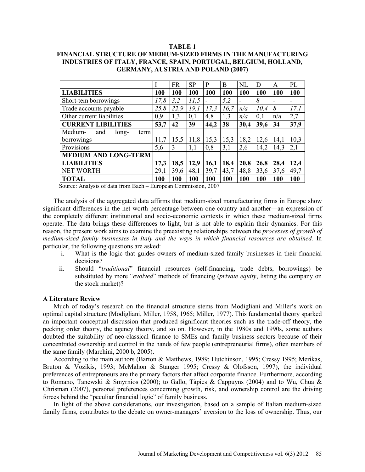#### **TABLE 1**

# **FINANCIAL STRUCTURE OF MEDIUM-SIZED FIRMS IN THE MANUFACTURING INDUSTRIES OF ITALY, FRANCE, SPAIN, PORTUGAL, BELGIUM, HOLLAND, GERMANY, AUSTRIA AND POLAND (2007)**

|                                 |      | <b>FR</b> | <b>SP</b>  | P    | B    | NL         | D          | A          | PL   |
|---------------------------------|------|-----------|------------|------|------|------------|------------|------------|------|
| <b>LIABILITIES</b>              |      | 100       | <b>100</b> | 100  | 100  | <b>100</b> | <b>100</b> | <b>100</b> | 100  |
| Short-tem borrowings            | 17,8 | 3,2       | 11,5       |      | 5,2  |            | 8          |            |      |
| Trade accounts payable          | 25,8 | 22,9      | 19,1       | 17,3 | 16,7 | n/a        | 10,4       | 8          | 17,1 |
| Other current liabilities       | 0,9  | 1,3       | 0,1        | 4,8  | 1,3  | n/a        | 0,1        | n/a        | 2,7  |
| <b>CURRENT LIBILITIES</b>       | 53,7 | 42        | 39         | 44,2 | 38   | 30,4       | 39,6       | 34         | 37,9 |
| Medium-<br>and<br>long-<br>term |      |           |            |      |      |            |            |            |      |
| borrowings                      | 11,7 | 15,5      | 11,8       | 15,3 | 15,3 | 18,2       | 12,6       | 14,1       | 10,3 |
| Provisions                      |      | 3         | 1,1        | 0,8  | 3,1  | 2,6        | 14,2       | 14,3       | 2,1  |
| <b>MEDIUM AND LONG-TERM</b>     |      |           |            |      |      |            |            |            |      |
| <b>LIABILITIES</b>              | 17,3 | 18,5      | 12,9       | 16,1 | 18,4 | 20,8       | 26,8       | 28,4       | 12,4 |
| <b>NET WORTH</b>                |      | 39,6      | 48,1       | 39,7 | 43,7 | 48,8       | 33,6       | 37,6       | 49,7 |
| <b>TOTAL</b>                    |      | 100       | 100        | 100  | 100  | 100        | 100        | 100        | 100  |

Source: Analysis of data from Bach – European Commission, 2007

The analysis of the aggregated data affirms that medium-sized manufacturing firms in Europe show significant differences in the net worth percentage between one country and another—an expression of the completely different institutional and socio-economic contexts in which these medium-sized firms operate. The data brings these differences to light, but is not able to explain their dynamics. For this reason, the present work aims to examine the preexisting relationships between the *processes of growth of medium-sized family businesses in Italy and the ways in which financial resources are obtained.* In particular, the following questions are asked:

- i. What is the logic that guides owners of medium-sized family businesses in their financial decisions?
- ii. Should "*traditional*" financial resources (self-financing, trade debts, borrowings) be substituted by more "*evolved*" methods of financing (*private equity*, listing the company on the stock market)?

#### **A Literature Review**

Much of today's research on the financial structure stems from Modigliani and Miller's work on optimal capital structure (Modigliani, Miller, 1958, 1965; Miller, 1977). This fundamental theory sparked an important conceptual discussion that produced significant theories such as the trade-off theory, the pecking order theory, the agency theory, and so on. However, in the 1980s and 1990s, some authors doubted the suitability of neo-classical finance to SMEs and family business sectors because of their concentrated ownership and control in the hands of few people (entrepreneurial firms), often members of the same family (Marchini, 2000 b, 2005).

According to the main authors (Barton & Matthews, 1989; Hutchinson, 1995; Cressy 1995; Merikas, Bruton & Vozikis, 1993; McMahon & Stanger 1995; Cressy & Olofsson, 1997), the individual preferences of entrepreneurs are the primary factors that affect corporate finance. Furthermore, according to Romano, Tanewski & Smyrnios (2000); to Gallo, Tàpies & Cappuyns (2004) and to Wu, Chua & Chrisman (2007), personal preferences concerning growth, risk, and ownership control are the driving forces behind the "peculiar financial logic" of family business.

In light of the above considerations, our investigation, based on a sample of Italian medium-sized family firms, contributes to the debate on owner-managers' aversion to the loss of ownership. Thus, our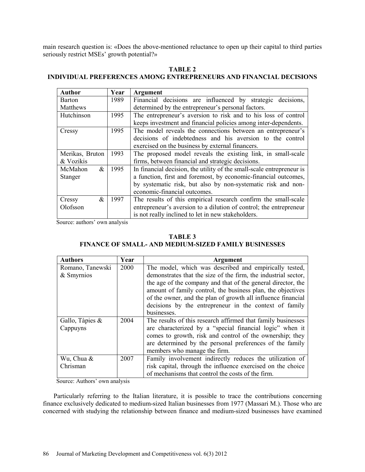main research question is: «Does the above-mentioned reluctance to open up their capital to third parties seriously restrict MSEs' growth potential?»

# **TABLE 2**

# **INDIVIDUAL PREFERENCES AMONG ENTREPRENEURS AND FINANCIAL DECISIONS**

| <b>Author</b>   | Year | <b>Argument</b>                                                       |
|-----------------|------|-----------------------------------------------------------------------|
| <b>Barton</b>   | 1989 | Financial decisions are influenced by strategic decisions,            |
| Matthews        |      | determined by the entrepreneur's personal factors.                    |
| Hutchinson      | 1995 | The entrepreneur's aversion to risk and to his loss of control        |
|                 |      | keeps investment and financial policies among inter-dependents.       |
| Cressy          | 1995 | The model reveals the connections between an entrepreneur's           |
|                 |      | decisions of indebtedness and his aversion to the control             |
|                 |      | exercised on the business by external financers.                      |
| Merikas, Bruton | 1993 | The proposed model reveals the existing link, in small-scale          |
| & Vozikis       |      | firms, between financial and strategic decisions.                     |
| $\&$<br>McMahon | 1995 | In financial decision, the utility of the small-scale entrepreneur is |
| Stanger         |      | a function, first and foremost, by economic-financial outcomes,       |
|                 |      | by systematic risk, but also by non-systematic risk and non-          |
|                 |      | economic-financial outcomes.                                          |
| $\&$<br>Cressy  | 1997 | The results of this empirical research confirm the small-scale        |
| Olofsson        |      | entrepreneur's aversion to a dilution of control; the entrepreneur    |
|                 |      | is not really inclined to let in new stakeholders.                    |

Source: authors' own analysis

# **TABLE 3**

# **FINANCE OF SMALL- AND MEDIUM-SIZED FAMILY BUSINESSES**

| <b>Authors</b>     | Year | <b>Argument</b>                                                |
|--------------------|------|----------------------------------------------------------------|
| Romano, Tanewski   | 2000 | The model, which was described and empirically tested,         |
| & Smyrnios         |      | demonstrates that the size of the firm, the industrial sector, |
|                    |      | the age of the company and that of the general director, the   |
|                    |      | amount of family control, the business plan, the objectives    |
|                    |      | of the owner, and the plan of growth all influence financial   |
|                    |      | decisions by the entrepreneur in the context of family         |
|                    |      | businesses.                                                    |
| Gallo, Tàpies $\&$ | 2004 | The results of this research affirmed that family businesses   |
| Cappuyns           |      | are characterized by a "special financial logic" when it       |
|                    |      | comes to growth, risk and control of the ownership; they       |
|                    |      | are determined by the personal preferences of the family       |
|                    |      | members who manage the firm.                                   |
| Wu, Chua &         | 2007 | Family involvement indirectly reduces the utilization of       |
| Chrisman           |      | risk capital, through the influence exercised on the choice    |
|                    |      | of mechanisms that control the costs of the firm.              |

Source: Authors' own analysis

Particularly referring to the Italian literature, it is possible to trace the contributions concerning finance exclusively dedicated to medium-sized Italian businesses from 1977 (Massari M.). Those who are concerned with studying the relationship between finance and medium-sized businesses have examined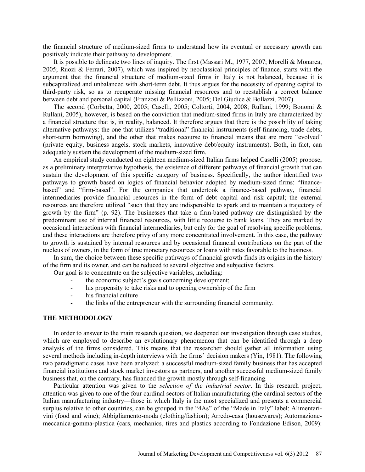the financial structure of medium-sized firms to understand how its eventual or necessary growth can positively indicate their pathway to development.

It is possible to delineate two lines of inquiry. The first (Massari M., 1977, 2007; Morelli & Monarca, 2005; Ruozi & Ferrari, 2007), which was inspired by neoclassical principles of finance, starts with the argument that the financial structure of medium-sized firms in Italy is not balanced, because it is subcapitalized and unbalanced with short-term debt. It thus argues for the necessity of opening capital to third-party risk, so as to recuperate missing financial resources and to reestablish a correct balance between debt and personal capital (Franzosi & Pellizzoni, 2005; Del Giudice & Bollazzi, 2007).

The second (Corbetta, 2000, 2005; Caselli, 2005; Coltorti, 2004, 2008; Rullani, 1999; Bonomi & Rullani, 2005), however, is based on the conviction that medium-sized firms in Italy are characterized by a financial structure that is, in reality, balanced. It therefore argues that there is the possibility of taking alternative pathways: the one that utilizes "traditional" financial instruments (self-financing, trade debts, short-term borrowing), and the other that makes recourse to financial means that are more "evolved" (private equity, business angels, stock markets, innovative debt/equity instruments). Both, in fact, can adequately sustain the development of the medium-sized firm.

An empirical study conducted on eighteen medium-sized Italian firms helped Caselli (2005) propose, as a preliminary interpretative hypothesis, the existence of different pathways of financial growth that can sustain the development of this specific category of business. Specifically, the author identified two pathways to growth based on logics of financial behavior adopted by medium-sized firms: "financebased" and "firm-based". For the companies that undertook a finance-based pathway, financial intermediaries provide financial resources in the form of debt capital and risk capital; the external resources are therefore utilized "such that they are indispensible to spark and to maintain a trajectory of growth by the firm" (p. 92). The businesses that take a firm-based pathway are distinguished by the predominant use of internal financial resources, with little recourse to bank loans. They are marked by occasional interactions with financial intermediaries, but only for the goal of resolving specific problems, and these interactions are therefore privy of any more concentrated involvement. In this case, the pathway to growth is sustained by internal resources and by occasional financial contributions on the part of the nucleus of owners, in the form of true monetary resources or loans with rates favorable to the business.

In sum, the choice between these specific pathways of financial growth finds its origins in the history of the firm and its owner, and can be reduced to several objective and subjective factors.

Our goal is to concentrate on the subjective variables, including:

- the economic subject's goals concerning development;
- his propensity to take risks and to opening ownership of the firm
- his financial culture
- the links of the entrepreneur with the surrounding financial community.

### **THE METHODOLOGY**

In order to answer to the main research question, we deepened our investigation through case studies, which are employed to describe an evolutionary phenomenon that can be identified through a deep analysis of the firms considered. This means that the researcher should gather all information using several methods including in-depth interviews with the firms' decision makers (Yin, 1981). The following two paradigmatic cases have been analyzed: a successful medium-sized family business that has accepted financial institutions and stock market investors as partners, and another successful medium-sized family business that, on the contrary, has financed the growth mostly through self-financing.

Particular attention was given to the *selection of the industrial sector*. In this research project, attention was given to one of the four cardinal sectors of Italian manufacturing (the cardinal sectors of the Italian manufacturing industry—those in which Italy is the most specialized and presents a commercial surplus relative to other countries, can be grouped in the "4As" of the "Made in Italy" label: Alimentarivini (food and wine); Abbigliamento-moda (clothing/fashion); Arredo-casa (housewares); Automazionemeccanica-gomma-plastica (cars, mechanics, tires and plastics according to Fondazione Edison, 2009):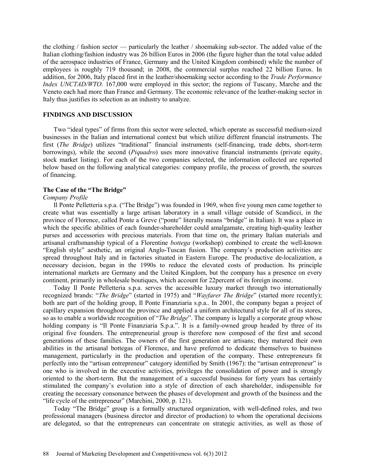the clothing / fashion sector — particularly the leather / shoemaking sub-sector. The added value of the Italian clothing/fashion industry was 26 billion Euros in 2006 (the figure higher than the total value added of the aerospace industries of France, Germany and the United Kingdom combined) while the number of employees is roughly 719 thousand; in 2008, the commercial surplus reached 22 billion Euros. In addition, for 2006, Italy placed first in the leather/shoemaking sector according to the *Trade Performance Index UNCTAD/WTO*. 167,000 were employed in this sector; the regions of Tuscany, Marche and the Veneto each had more than France and Germany. The economic relevance of the leather-making sector in Italy thus justifies its selection as an industry to analyze.

# **FINDINGS AND DISCUSSION**

Two "ideal types" of firms from this sector were selected, which operate as successful medium-sized businesses in the Italian and international context but which utilize different financial instruments. The first (*The Bridge*) utilizes "traditional" financial instruments (self-financing, trade debts, short-term borrowings), while the second (*Piquadro*) uses more innovative financial instruments (private equity, stock market listing). For each of the two companies selected, the information collected are reported below based on the following analytical categories: company profile, the process of growth, the sources of financing.

# **The Case of the "The Bridge"**

#### *Company Profile*

Il Ponte Pelletteria s.p.a. ("The Bridge") was founded in 1969, when five young men came together to create what was essentially a large artisan laboratory in a small village outside of Scandicci, in the province of Florence, called Ponte a Greve ("ponte" literally means "bridge" in Italian). It was a place in which the specific abilities of each founder-shareholder could amalgamate, creating high-quality leather purses and accessories with precious materials. From that time on, the primary Italian materials and artisanal craftsmanship typical of a Florentine *bottega* (workshop) combined to create the well-known "English style" aesthetic, an original Anglo-Tuscan fusion. The company's production activities are spread throughout Italy and in factories situated in Eastern Europe. The productive de-localization, a necessary decision, began in the 1990s to reduce the elevated costs of production. Its principle international markets are Germany and the United Kingdom, but the company has a presence on every continent, primarily in wholesale boutiques, which account for 22percent of its foreign income.

Today Il Ponte Pelletteria s.p.a. serves the accessible luxury market through two internationally recognized brands: "*The Bridge*" (started in 1975) and "*Wayfarer The Bridge*" (started more recently); both are part of the holding group, Il Ponte Finanziaria s.p.a.. In 2001, the company began a project of capillary expansion throughout the province and applied a uniform architectural style for all of its stores, so as to enable a worldwide recognition of "*The Bridge*". The company is legally a corporate group whose holding company is "Il Ponte Finanziaria S.p.a.". It is a family-owned group headed by three of its original five founders. The entrepreneurial group is therefore now composed of the first and second generations of these families. The owners of the first generation are artisans; they matured their own abilities in the artisanal bottegas of Florence, and have preferred to dedicate themselves to business management, particularly in the production and operation of the company. These entrepreneurs fit perfectly into the "artisan entrepreneur" category identified by Smith (1967): the "artisan entrepreneur" is one who is involved in the executive activities, privileges the consolidation of power and is strongly oriented to the short-term. But the management of a successful business for forty years has certainly stimulated the company's evolution into a style of direction of each shareholder, indispensible for creating the necessary consonance between the phases of development and growth of the business and the "life cycle of the entrepreneur" (Marchini, 2000, p. 121).

Today "The Bridge" group is a formally structured organization, with well-defined roles, and two professional managers (business director and director of production) to whom the operational decisions are delegated, so that the entrepreneurs can concentrate on strategic activities, as well as those of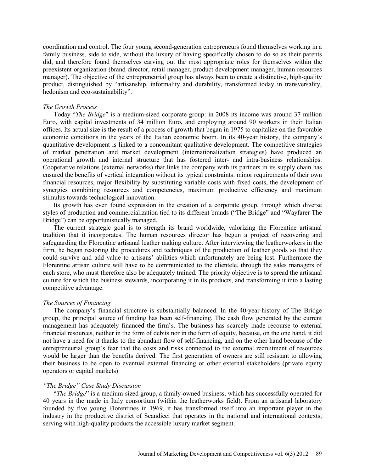coordination and control. The four young second-generation entrepreneurs found themselves working in a family business, side to side, without the luxury of having specifically chosen to do so as their parents did, and therefore found themselves carving out the most appropriate roles for themselves within the preexistent organization (brand director, retail manager, product development manager, human resources manager). The objective of the entrepreneurial group has always been to create a distinctive, high-quality product, distinguished by "artisanship, informality and durability, transformed today in transversality, hedonism and eco-sustainability".

#### *The Growth Process*

Today "*The Bridge*" is a medium-sized corporate group: in 2008 its income was around 37 million Euro, with capital investments of 34 million Euro, and employing around 90 workers in their Italian offices. Its actual size is the result of a process of growth that began in 1975 to capitalize on the favorable economic conditions in the years of the Italian economic boom. In its 40-year history, the company's quantitative development is linked to a concomitant qualitative development. The competitive strategies of market penetration and market development (internationalization strategies) have produced an operational growth and internal structure that has fostered inter- and intra-business relationships. Cooperative relations (external networks) that links the company with its partners in its supply chain has ensured the benefits of vertical integration without its typical constraints: minor requirements of their own financial resources, major flexibility by substituting variable costs with fixed costs, the development of synergies combining resources and competencies, maximum productive efficiency and maximum stimulus towards technological innovation.

Its growth has even found expression in the creation of a corporate group, through which diverse styles of production and commercialization tied to its different brands ("The Bridge" and "Wayfarer The Bridge") can be opportunistically managed.

The current strategic goal is to strength its brand worldwide, valorizing the Florentine artisanal tradition that it incorporates. The human resources director has begun a project of recovering and safeguarding the Florentine artisanal leather making culture. After interviewing the leatherworkers in the firm, he began restoring the procedures and techniques of the production of leather goods so that they could survive and add value to artisans' abilities which unfortunately are being lost. Furthermore the Florentine artisan culture will have to be communicated to the clientele, through the sales managers of each store, who must therefore also be adequately trained. The priority objective is to spread the artisanal culture for which the business stewards, incorporating it in its products, and transforming it into a lasting competitive advantage.

#### *The Sources of Financing*

The company's financial structure is substantially balanced. In the 40-year-history of The Bridge group, the principal source of funding has been self-financing. The cash flow generated by the current management has adequately financed the firm's. The business has scarcely made recourse to external financial resources, neither in the form of debits nor in the form of equity, because, on the one hand, it did not have a need for it thanks to the abundant flow of self-financing, and on the other hand because of the entrepreneurial group's fear that the costs and risks connected to the external recruitment of resources would be larger than the benefits derived. The first generation of owners are still resistant to allowing their business to be open to eventual external financing or other external stakeholders (private equity operators or capital markets).

#### *"The Bridge" Case Study Discussion*

"*The Bridge*" is a medium-sized group, a family-owned business, which has successfully operated for 40 years in the made in Italy consortium (within the leatherworks field). From an artisanal laboratory founded by five young Florentines in 1969, it has transformed itself into an important player in the industry in the productive district of Scandicci that operates in the national and international contexts, serving with high-quality products the accessible luxury market segment.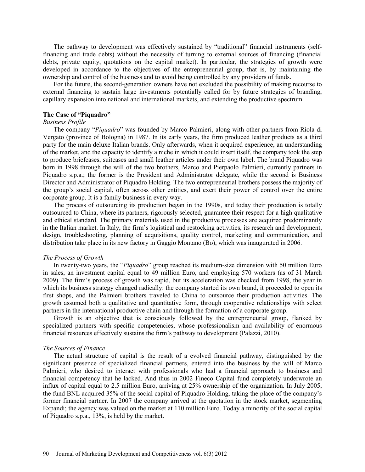The pathway to development was effectively sustained by "traditional" financial instruments (selffinancing and trade debts) without the necessity of turning to external sources of financing (financial debts, private equity, quotations on the capital market). In particular, the strategies of growth were developed in accordance to the objectives of the entrepreneurial group, that is, by maintaining the ownership and control of the business and to avoid being controlled by any providers of funds.

For the future, the second-generation owners have not excluded the possibility of making recourse to external financing to sustain large investments potentially called for by future strategies of branding, capillary expansion into national and international markets, and extending the productive spectrum.

#### **The Case of "Piquadro"**

# *Business Profile*

The company "*Piquadro*" was founded by Marco Palmieri, along with other partners from Riola di Vergato (province of Bologna) in 1987. In its early years, the firm produced leather products as a third party for the main deluxe Italian brands. Only afterwards, when it acquired experience, an understanding of the market, and the capacity to identify a niche in which it could insert itself, the company took the step to produce briefcases, suitcases and small leather articles under their own label. The brand Piquadro was born in 1998 through the will of the two brothers, Marco and Pierpaolo Palmieri, currently partners in Piquadro s.p.a.; the former is the President and Administrator delegate, while the second is Business Director and Administrator of Piquadro Holding. The two entrepreneurial brothers possess the majority of the group's social capital, often across other entities, and exert their power of control over the entire corporate group. It is a family business in every way.

The process of outsourcing its production began in the 1990s, and today their production is totally outsourced to China, where its partners, rigorously selected, guarantee their respect for a high qualitative and ethical standard. The primary materials used in the productive processes are acquired predominantly in the Italian market. In Italy, the firm's logistical and restocking activities, its research and development, design, troubleshooting, planning of acquisitions, quality control, marketing and communication, and distribution take place in its new factory in Gaggio Montano (Bo), which was inaugurated in 2006.

#### *The Process of Growth*

In twenty-two years, the "*Piquadro*" group reached its medium-size dimension with 50 million Euro in sales, an investment capital equal to 49 million Euro, and employing 570 workers (as of 31 March 2009). The firm's process of growth was rapid, but its acceleration was checked from 1998, the year in which its business strategy changed radically: the company started its own brand, it proceeded to open its first shops, and the Palmieri brothers traveled to China to outsource their production activities. The growth assumed both a qualitative and quantitative form, through cooperative relationships with select partners in the international productive chain and through the formation of a corporate group.

Growth is an objective that is consciously followed by the entrepreneurial group, flanked by specialized partners with specific competencies, whose professionalism and availability of enormous financial resources effectively sustains the firm's pathway to development (Palazzi, 2010).

#### *The Sources of Finance*

The actual structure of capital is the result of a evolved financial pathway, distinguished by the significant presence of specialized financial partners, entered into the business by the will of Marco Palmieri, who desired to interact with professionals who had a financial approach to business and financial competency that he lacked. And thus in 2002 Fineco Capital fund completely underwrote an influx of capital equal to 2.5 million Euro, arriving at 25% ownership of the organization. In July 2005, the fund BNL acquired 35% of the social capital of Piquadro Holding, taking the place of the company's former financial partner. In 2007 the company arrived at the quotation in the stock market, segmenting Expandi; the agency was valued on the market at 110 million Euro. Today a minority of the social capital of Piquadro s.p.a., 13%, is held by the market.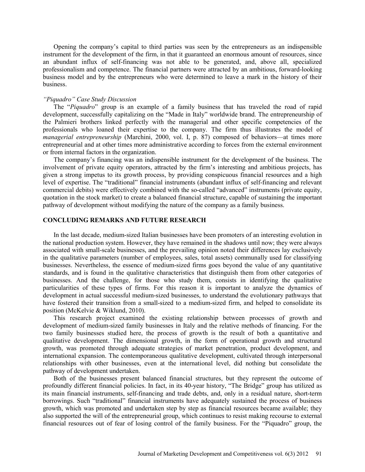Opening the company's capital to third parties was seen by the entrepreneurs as an indispensible instrument for the development of the firm, in that it guaranteed an enormous amount of resources, since an abundant influx of self-financing was not able to be generated, and, above all, specialized professionalism and competence. The financial partners were attracted by an ambitious, forward-looking business model and by the entrepreneurs who were determined to leave a mark in the history of their business.

#### *"Piquadro" Case Study Discussion*

The "*Piquadro*" group is an example of a family business that has traveled the road of rapid development, successfully capitalizing on the "Made in Italy" worldwide brand. The entrepreneurship of the Palmieri brothers linked perfectly with the managerial and other specific competencies of the professionals who loaned their expertise to the company. The firm thus illustrates the model of *managerial entrepreneurship* (Marchini, 2000, vol. I, p. 87) composed of behaviors—at times more entrepreneurial and at other times more administrative according to forces from the external environment or from internal factors in the organization.

The company's financing was an indispensible instrument for the development of the business. The involvement of private equity operators, attracted by the firm's interesting and ambitious projects, has given a strong impetus to its growth process, by providing conspicuous financial resources and a high level of expertise. The "traditional" financial instruments (abundant influx of self-financing and relevant commercial debits) were effectively combined with the so-called "advanced" instruments (private equity, quotation in the stock market) to create a balanced financial structure, capable of sustaining the important pathway of development without modifying the nature of the company as a family business.

# **CONCLUDING REMARKS AND FUTURE RESEARCH**

In the last decade, medium-sized Italian businesses have been promoters of an interesting evolution in the national production system. However, they have remained in the shadows until now; they were always associated with small-scale businesses, and the prevailing opinion noted their differences lay exclusively in the qualitative parameters (number of employees, sales, total assets) communally used for classifying businesses. Nevertheless, the essence of medium-sized firms goes beyond the value of any quantitative standards, and is found in the qualitative characteristics that distinguish them from other categories of businesses. And the challenge, for those who study them, consists in identifying the qualitative particularities of these types of firms. For this reason it is important to analyze the dynamics of development in actual successful medium-sized businesses, to understand the evolutionary pathways that have fostered their transition from a small-sized to a medium-sized firm, and helped to consolidate its position (McKelvie & Wiklund, 2010).

This research project examined the existing relationship between processes of growth and development of medium-sized family businesses in Italy and the relative methods of financing. For the two family businesses studied here, the process of growth is the result of both a quantitative and qualitative development. The dimensional growth, in the form of operational growth and structural growth, was promoted through adequate strategies of market penetration, product development, and international expansion. The contemporaneous qualitative development, cultivated through interpersonal relationships with other businesses, even at the international level, did nothing but consolidate the pathway of development undertaken.

Both of the businesses present balanced financial structures, but they represent the outcome of profoundly different financial policies. In fact, in its 40-year history, "The Bridge" group has utilized as its main financial instruments, self-financing and trade debts, and, only in a residual nature, short-term borrowings. Such "traditional" financial instruments have adequately sustained the process of business growth, which was promoted and undertaken step by step as financial resources became available; they also supported the will of the entrepreneurial group, which continues to resist making recourse to external financial resources out of fear of losing control of the family business. For the "Piquadro" group, the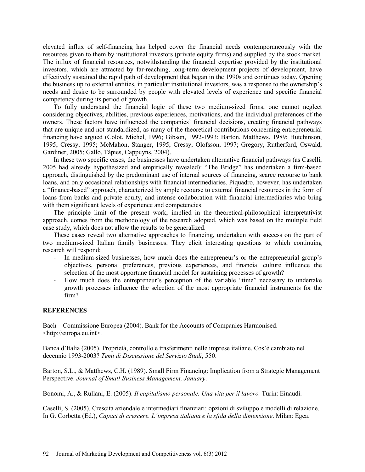elevated influx of self-financing has helped cover the financial needs contemporaneously with the resources given to them by institutional investors (private equity firms) and supplied by the stock market. The influx of financial resources, notwithstanding the financial expertise provided by the institutional investors, which are attracted by far-reaching, long-term development projects of development, have effectively sustained the rapid path of development that began in the 1990s and continues today. Opening the business up to external entities, in particular institutional investors, was a response to the ownership's needs and desire to be surrounded by people with elevated levels of experience and specific financial competency during its period of growth.

To fully understand the financial logic of these two medium-sized firms, one cannot neglect considering objectives, abilities, previous experiences, motivations, and the individual preferences of the owners. These factors have influenced the companies' financial decisions, creating financial pathways that are unique and not standardized, as many of the theoretical contributions concerning entrepreneurial financing have argued (Colot, Michel, 1996; Gibson, 1992-1993; Barton, Matthews, 1989; Hutchinson, 1995; Cressy, 1995; McMahon, Stanger, 1995; Cressy, Olofsson, 1997; Gregory, Rutherford, Oswald, Gardiner, 2005; Gallo, Tàpies, Cappuyns, 2004).

In these two specific cases, the businesses have undertaken alternative financial pathways (as Caselli, 2005 had already hypothesized and empirically revealed): "The Bridge" has undertaken a firm-based approach, distinguished by the predominant use of internal sources of financing, scarce recourse to bank loans, and only occasional relationships with financial intermediaries. Piquadro, however, has undertaken a "finance-based" approach, characterized by ample recourse to external financial resources in the form of loans from banks and private equity, and intense collaboration with financial intermediaries who bring with them significant levels of experience and competencies.

The principle limit of the present work, implied in the theoretical-philosophical interpretativist approach, comes from the methodology of the research adopted, which was based on the multiple field case study, which does not allow the results to be generalized.

These cases reveal two alternative approaches to financing, undertaken with success on the part of two medium-sized Italian family businesses. They elicit interesting questions to which continuing research will respond:

- In medium-sized businesses, how much does the entrepreneur's or the entrepreneurial group's objectives, personal preferences, previous experiences, and financial culture influence the selection of the most opportune financial model for sustaining processes of growth?
- How much does the entrepreneur's perception of the variable "time" necessary to undertake growth processes influence the selection of the most appropriate financial instruments for the firm?

#### **REFERENCES**

Bach – Commissione Europea (2004). Bank for the Accounts of Companies Harmonised. <http://europa.eu.int>.

Banca d'Italia (2005). Proprietà, controllo e trasferimenti nelle imprese italiane. Cos'è cambiato nel decennio 1993-2003? *Temi di Discussione del Servizio Studi*, 550.

Barton, S.L., & Matthews, C.H. (1989). Small Firm Financing: Implication from a Strategic Management Perspective. *Journal of Small Business Management, January*.

Bonomi, A., & Rullani, E. (2005). *Il capitalismo personale. Una vita per il lavoro.* Turin: Einaudi.

Caselli, S. (2005). Crescita aziendale e intermediari finanziari: opzioni di sviluppo e modelli di relazione. In G. Corbetta (Ed.), *Capaci di crescere. L'impresa italiana e la sfida della dimensione*. Milan: Egea.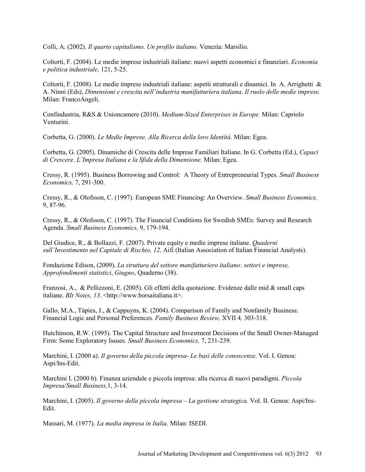Colli, A. (2002). *Il quarto capitalismo. Un profilo italiano.* Venezia: Marsilio.

Coltorti, F. (2004). Le medie imprese industriali italiane: nuovi aspetti economici e finanziari. *Economia e politica industriale,* 121, 5-25.

Coltorti, F. (2008). Le medie imprese industriali italiane: aspetti strutturali e dinamici. In A. Arrighetti & A. Ninni (Eds), *Dimensioni e crescita nell'industria manifatturiera italiana. Il ruolo delle medie imprese.*  Milan: FrancoAngeli.

Confindustria, R&S & Unioncamere (2010). *Medium-Sized Enterprises in Europe.* Milan: Capriolo Venturini.

Corbetta, G. (2000). *Le Medie Imprese. Alla Ricerca della loro Identità.* Milan: Egea.

Corbetta, G. (2005). Dinamiche di Crescita delle Imprese Familiari Italiane. In G. Corbetta (Ed.), *Capaci di Crescere. L'Impresa Italiana e la Sfida della Dimensione.* Milan: Egea.

Cressy, R. (1995). Business Borrowing and Control: A Theory of Entrepreneurial Types. *Small Business Economics,* 7, 291-300.

Cressy, R., & Olofsson, C. (1997). European SME Financing: An Overview. *Small Business Economics,*  9, 87-96.

Cressy, R., & Olofsson, C. (1997). The Financial Conditions for Swedish SMEs: Survey and Research Agenda. *Small Business Economics,* 9, 179-194.

Del Giudice, R., & Bollazzi, F. (2007). Private equity e medie imprese italiane. *Quaderni sull'Investimento nel Capitale di Rischio, 12,* Aifi (Italian Association of Italian Financial Analysts).

Fondazione Edison, (2009). *La struttura del settore manifatturiero italiano: settori e imprese, Approfondimenti statistici*, *Giugno*, Quaderno (38).

Franzosi, A., & Pellizzoni, E. (2005). Gli effetti della quotazione. Evidenze dalle mid & small caps italiane. *BIt Notes, 13.* <http://www.borsaitaliana.it>.

Gallo, M.A., Tàpies, J., & Cappuyns, K. (2004). Comparison of Family and Nonfamily Business: Financial Logic and Personal Preferences. *Family Business Review,* XVII 4*,* 303-318.

Hutchinson, R.W. (1995). The Capital Structure and Investment Decisions of the Small Owner-Managed Firm: Some Exploratory Issues. *Small Business Economics,* 7, 231-239.

Marchini, I. (2000 a). *Il governo della piccola impresa- Le basi delle conoscenze.* Vol. I. Genoa: Aspi/Ins-Edit.

Marchini I. (2000 b). Finanza aziendale e piccola impresa: alla ricerca di nuovi paradigmi. *Piccola Impresa/Small Business,*1, 3-14.

Marchini, I. (2005). *Il governo della piccola impresa – La gestione strategica.* Vol. II. Genoa: Aspi/Ins-Edit.

Massari, M. (1977). *La media impresa in Italia.* Milan: ISEDI.